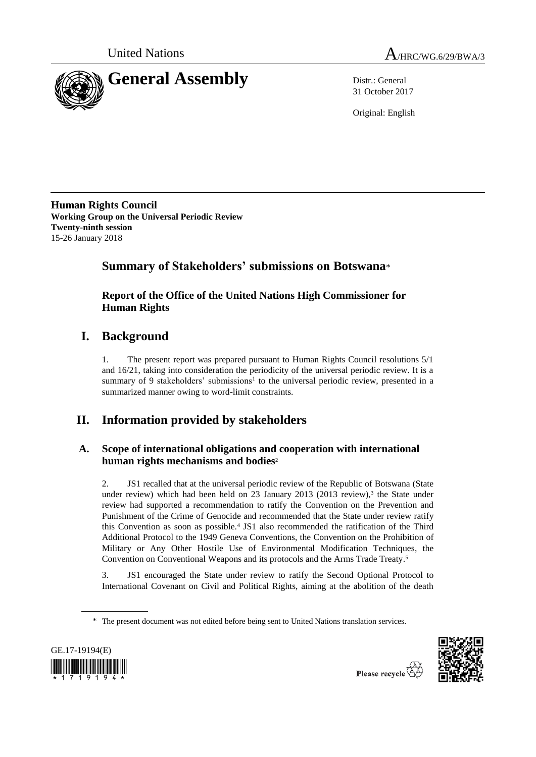



31 October 2017

Original: English

**Human Rights Council Working Group on the Universal Periodic Review Twenty-ninth session** 15-26 January 2018

# **Summary of Stakeholders' submissions on Botswana**\*

# **Report of the Office of the United Nations High Commissioner for Human Rights**

# **I. Background**

1. The present report was prepared pursuant to Human Rights Council resolutions 5/1 and 16/21, taking into consideration the periodicity of the universal periodic review. It is a summary of 9 stakeholders' submissions<sup>1</sup> to the universal periodic review, presented in a summarized manner owing to word-limit constraints.

# **II. Information provided by stakeholders**

# **A. Scope of international obligations and cooperation with international human rights mechanisms and bodies**<sup>2</sup>

2. JS1 recalled that at the universal periodic review of the Republic of Botswana (State under review) which had been held on 23 January 2013 (2013 review), 3 the State under review had supported a recommendation to ratify the Convention on the Prevention and Punishment of the Crime of Genocide and recommended that the State under review ratify this Convention as soon as possible.<sup>4</sup> JS1 also recommended the ratification of the Third Additional Protocol to the 1949 Geneva Conventions, the Convention on the Prohibition of Military or Any Other Hostile Use of Environmental Modification Techniques, the Convention on Conventional Weapons and its protocols and the Arms Trade Treaty. 5

3. JS1 encouraged the State under review to ratify the Second Optional Protocol to International Covenant on Civil and Political Rights, aiming at the abolition of the death

<sup>\*</sup> The present document was not edited before being sent to United Nations translation services.



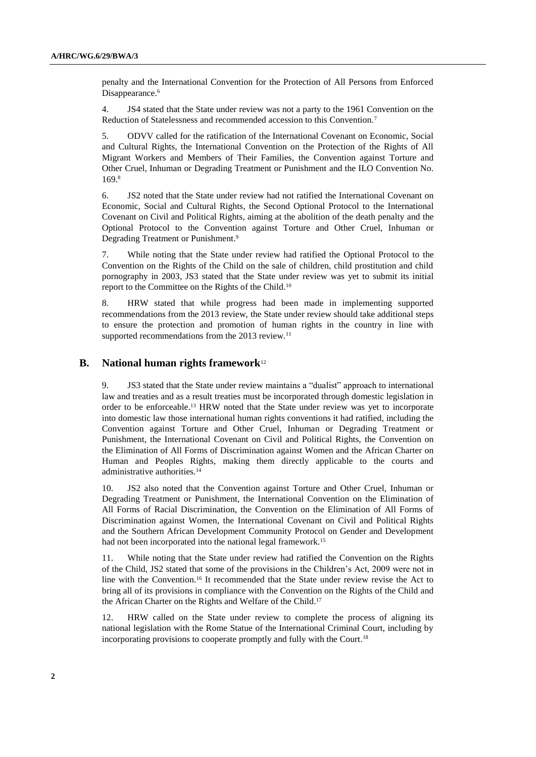penalty and the International Convention for the Protection of All Persons from Enforced Disappearance. 6

4. JS4 stated that the State under review was not a party to the 1961 Convention on the Reduction of Statelessness and recommended accession to this Convention.<sup>7</sup>

5. ODVV called for the ratification of the International Covenant on Economic, Social and Cultural Rights, the International Convention on the Protection of the Rights of All Migrant Workers and Members of Their Families, the Convention against Torture and Other Cruel, Inhuman or Degrading Treatment or Punishment and the ILO Convention No. 169.<sup>8</sup>

6. JS2 noted that the State under review had not ratified the International Covenant on Economic, Social and Cultural Rights, the Second Optional Protocol to the International Covenant on Civil and Political Rights, aiming at the abolition of the death penalty and the Optional Protocol to the Convention against Torture and Other Cruel, Inhuman or Degrading Treatment or Punishment.<sup>9</sup>

7. While noting that the State under review had ratified the Optional Protocol to the Convention on the Rights of the Child on the sale of children, child prostitution and child pornography in 2003, JS3 stated that the State under review was yet to submit its initial report to the Committee on the Rights of the Child.<sup>10</sup>

8. HRW stated that while progress had been made in implementing supported recommendations from the 2013 review, the State under review should take additional steps to ensure the protection and promotion of human rights in the country in line with supported recommendations from the 2013 review.<sup>11</sup>

# **B. National human rights framework**<sup>12</sup>

9. JS3 stated that the State under review maintains a "dualist" approach to international law and treaties and as a result treaties must be incorporated through domestic legislation in order to be enforceable.<sup>13</sup> HRW noted that the State under review was yet to incorporate into domestic law those international human rights conventions it had ratified, including the Convention against Torture and Other Cruel, Inhuman or Degrading Treatment or Punishment, the International Covenant on Civil and Political Rights, the Convention on the Elimination of All Forms of Discrimination against Women and the African Charter on Human and Peoples Rights, making them directly applicable to the courts and administrative authorities.<sup>14</sup>

10. JS2 also noted that the Convention against Torture and Other Cruel, Inhuman or Degrading Treatment or Punishment, the International Convention on the Elimination of All Forms of Racial Discrimination, the Convention on the Elimination of All Forms of Discrimination against Women, the International Covenant on Civil and Political Rights and the Southern African Development Community Protocol on Gender and Development had not been incorporated into the national legal framework.<sup>15</sup>

11. While noting that the State under review had ratified the Convention on the Rights of the Child, JS2 stated that some of the provisions in the Children's Act, 2009 were not in line with the Convention.<sup>16</sup> It recommended that the State under review revise the Act to bring all of its provisions in compliance with the Convention on the Rights of the Child and the African Charter on the Rights and Welfare of the Child. 17

12. HRW called on the State under review to complete the process of aligning its national legislation with the Rome Statue of the International Criminal Court, including by incorporating provisions to cooperate promptly and fully with the Court. 18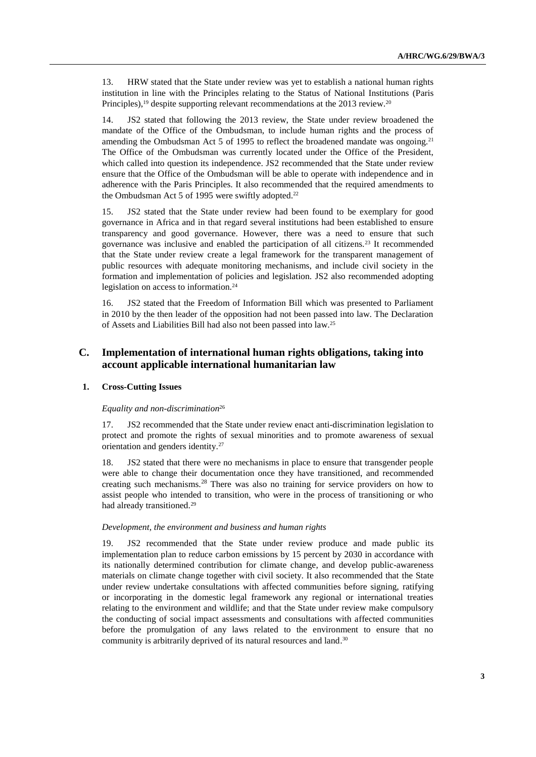13. HRW stated that the State under review was yet to establish a national human rights institution in line with the Principles relating to the Status of National Institutions (Paris Principles),<sup>19</sup> despite supporting relevant recommendations at the 2013 review.<sup>20</sup>

14. JS2 stated that following the 2013 review, the State under review broadened the mandate of the Office of the Ombudsman, to include human rights and the process of amending the Ombudsman Act 5 of 1995 to reflect the broadened mandate was ongoing.<sup>21</sup> The Office of the Ombudsman was currently located under the Office of the President, which called into question its independence. JS2 recommended that the State under review ensure that the Office of the Ombudsman will be able to operate with independence and in adherence with the Paris Principles. It also recommended that the required amendments to the Ombudsman Act 5 of 1995 were swiftly adopted.<sup>22</sup>

15. JS2 stated that the State under review had been found to be exemplary for good governance in Africa and in that regard several institutions had been established to ensure transparency and good governance. However, there was a need to ensure that such governance was inclusive and enabled the participation of all citizens.<sup>23</sup> It recommended that the State under review create a legal framework for the transparent management of public resources with adequate monitoring mechanisms, and include civil society in the formation and implementation of policies and legislation. JS2 also recommended adopting legislation on access to information.<sup>24</sup>

16. JS2 stated that the Freedom of Information Bill which was presented to Parliament in 2010 by the then leader of the opposition had not been passed into law. The Declaration of Assets and Liabilities Bill had also not been passed into law.<sup>25</sup>

# **C. Implementation of international human rights obligations, taking into account applicable international humanitarian law**

#### **1. Cross-Cutting Issues**

#### *Equality and non-discrimination*<sup>26</sup>

17. JS2 recommended that the State under review enact anti-discrimination legislation to protect and promote the rights of sexual minorities and to promote awareness of sexual orientation and genders identity.<sup>27</sup>

18. JS2 stated that there were no mechanisms in place to ensure that transgender people were able to change their documentation once they have transitioned, and recommended creating such mechanisms.<sup>28</sup> There was also no training for service providers on how to assist people who intended to transition, who were in the process of transitioning or who had already transitioned.<sup>29</sup>

#### *Development, the environment and business and human rights*

19. JS2 recommended that the State under review produce and made public its implementation plan to reduce carbon emissions by 15 percent by 2030 in accordance with its nationally determined contribution for climate change, and develop public-awareness materials on climate change together with civil society. It also recommended that the State under review undertake consultations with affected communities before signing, ratifying or incorporating in the domestic legal framework any regional or international treaties relating to the environment and wildlife; and that the State under review make compulsory the conducting of social impact assessments and consultations with affected communities before the promulgation of any laws related to the environment to ensure that no community is arbitrarily deprived of its natural resources and land. 30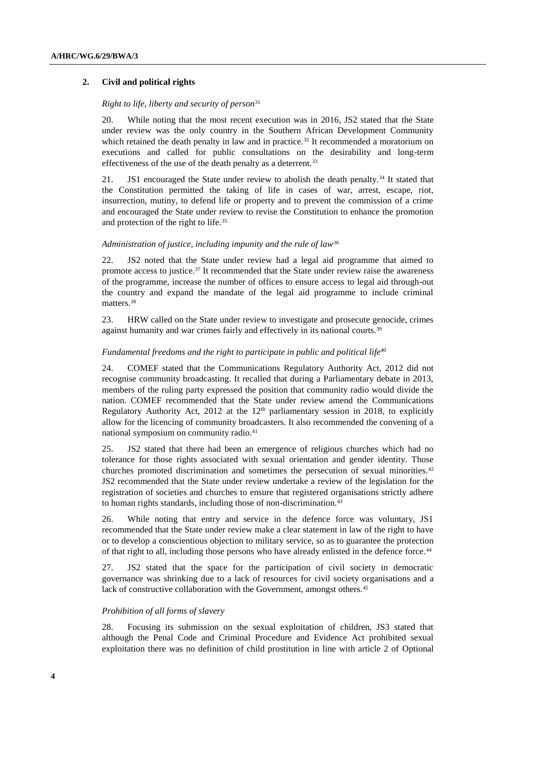### **2. Civil and political rights**

# *Right to life, liberty and security of person*<sup>31</sup>

20. While noting that the most recent execution was in 2016, JS2 stated that the State under review was the only country in the Southern African Development Community which retained the death penalty in law and in practice.<sup>32</sup> It recommended a moratorium on executions and called for public consultations on the desirability and long-term effectiveness of the use of the death penalty as a deterrent.<sup>33</sup>

21. JS1 encouraged the State under review to abolish the death penalty.<sup>34</sup> It stated that the Constitution permitted the taking of life in cases of war, arrest, escape, riot, insurrection, mutiny, to defend life or property and to prevent the commission of a crime and encouraged the State under review to revise the Constitution to enhance the promotion and protection of the right to life.<sup>35</sup>

#### *Administration of justice, including impunity and the rule of law*<sup>36</sup>

22. JS2 noted that the State under review had a legal aid programme that aimed to promote access to justice.<sup>37</sup> It recommended that the State under review raise the awareness of the programme, increase the number of offices to ensure access to legal aid through-out the country and expand the mandate of the legal aid programme to include criminal matters.<sup>38</sup>

23. HRW called on the State under review to investigate and prosecute genocide, crimes against humanity and war crimes fairly and effectively in its national courts.<sup>39</sup>

# *Fundamental freedoms and the right to participate in public and political life*<sup>40</sup>

24. COMEF stated that the Communications Regulatory Authority Act, 2012 did not recognise community broadcasting. It recalled that during a Parliamentary debate in 2013, members of the ruling party expressed the position that community radio would divide the nation. COMEF recommended that the State under review amend the Communications Regulatory Authority Act, 2012 at the  $12<sup>th</sup>$  parliamentary session in 2018, to explicitly allow for the licencing of community broadcasters. It also recommended the convening of a national symposium on community radio.<sup>41</sup>

25. JS2 stated that there had been an emergence of religious churches which had no tolerance for those rights associated with sexual orientation and gender identity. Those churches promoted discrimination and sometimes the persecution of sexual minorities.<sup>42</sup> JS2 recommended that the State under review undertake a review of the legislation for the registration of societies and churches to ensure that registered organisations strictly adhere to human rights standards, including those of non-discrimination.<sup>43</sup>

26. While noting that entry and service in the defence force was voluntary, JS1 recommended that the State under review make a clear statement in law of the right to have or to develop a conscientious objection to military service, so as to guarantee the protection of that right to all, including those persons who have already enlisted in the defence force.<sup>44</sup>

27. JS2 stated that the space for the participation of civil society in democratic governance was shrinking due to a lack of resources for civil society organisations and a lack of constructive collaboration with the Government, amongst others.<sup>45</sup>

#### *Prohibition of all forms of slavery*

28. Focusing its submission on the sexual exploitation of children, JS3 stated that although the Penal Code and Criminal Procedure and Evidence Act prohibited sexual exploitation there was no definition of child prostitution in line with article 2 of Optional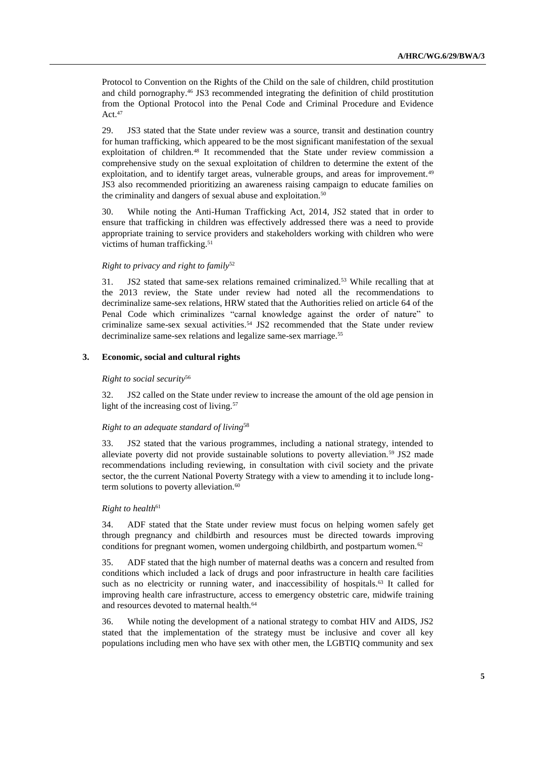Protocol to Convention on the Rights of the Child on the sale of children, child prostitution and child pornography. <sup>46</sup> JS3 recommended integrating the definition of child prostitution from the Optional Protocol into the Penal Code and Criminal Procedure and Evidence Act. 47

29. JS3 stated that the State under review was a source, transit and destination country for human trafficking, which appeared to be the most significant manifestation of the sexual exploitation of children.<sup>48</sup> It recommended that the State under review commission a comprehensive study on the sexual exploitation of children to determine the extent of the exploitation, and to identify target areas, vulnerable groups, and areas for improvement.<sup>49</sup> JS3 also recommended prioritizing an awareness raising campaign to educate families on the criminality and dangers of sexual abuse and exploitation.<sup>50</sup>

30. While noting the Anti-Human Trafficking Act, 2014, JS2 stated that in order to ensure that trafficking in children was effectively addressed there was a need to provide appropriate training to service providers and stakeholders working with children who were victims of human trafficking. 51

# *Right to privacy and right to family*<sup>52</sup>

31. JS2 stated that same-sex relations remained criminalized.<sup>53</sup> While recalling that at the 2013 review, the State under review had noted all the recommendations to decriminalize same-sex relations, HRW stated that the Authorities relied on article 64 of the Penal Code which criminalizes "carnal knowledge against the order of nature" to criminalize same-sex sexual activities. <sup>54</sup> JS2 recommended that the State under review decriminalize same-sex relations and legalize same-sex marriage.<sup>55</sup>

#### **3. Economic, social and cultural rights**

#### *Right to social security*<sup>56</sup>

32. JS2 called on the State under review to increase the amount of the old age pension in light of the increasing cost of living.<sup>57</sup>

#### *Right to an adequate standard of living*<sup>58</sup>

33. JS2 stated that the various programmes, including a national strategy, intended to alleviate poverty did not provide sustainable solutions to poverty alleviation.<sup>59</sup> JS2 made recommendations including reviewing, in consultation with civil society and the private sector, the the current National Poverty Strategy with a view to amending it to include longterm solutions to poverty alleviation.<sup>60</sup>

#### **Right to health<sup>61</sup>**

34. ADF stated that the State under review must focus on helping women safely get through pregnancy and childbirth and resources must be directed towards improving conditions for pregnant women, women undergoing childbirth, and postpartum women.<sup>62</sup>

35. ADF stated that the high number of maternal deaths was a concern and resulted from conditions which included a lack of drugs and poor infrastructure in health care facilities such as no electricity or running water, and inaccessibility of hospitals.<sup>63</sup> It called for improving health care infrastructure, access to emergency obstetric care, midwife training and resources devoted to maternal health.<sup>64</sup>

36. While noting the development of a national strategy to combat HIV and AIDS, JS2 stated that the implementation of the strategy must be inclusive and cover all key populations including men who have sex with other men, the LGBTIQ community and sex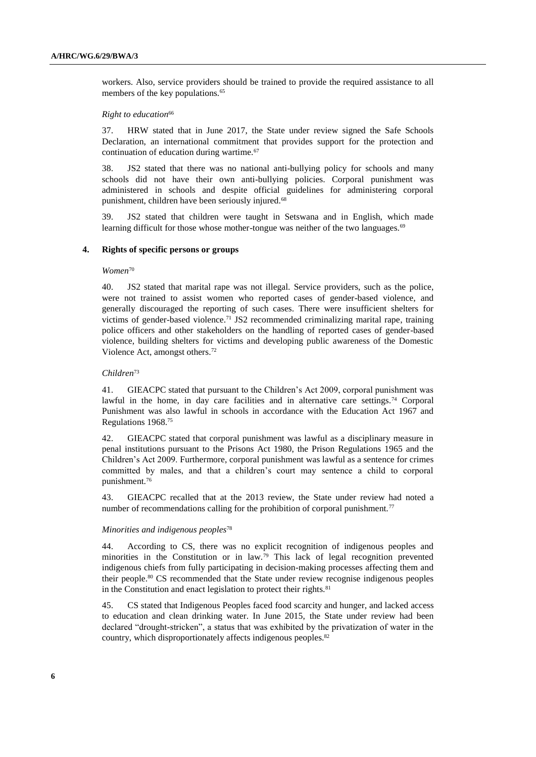workers. Also, service providers should be trained to provide the required assistance to all members of the key populations.<sup>65</sup>

### **Right to education<sup>66</sup>**

37. HRW stated that in June 2017, the State under review signed the Safe Schools Declaration, an international commitment that provides support for the protection and continuation of education during wartime.<sup>67</sup>

38. JS2 stated that there was no national anti-bullying policy for schools and many schools did not have their own anti-bullying policies. Corporal punishment was administered in schools and despite official guidelines for administering corporal punishment, children have been seriously injured.<sup>68</sup>

39. JS2 stated that children were taught in Setswana and in English, which made learning difficult for those whose mother-tongue was neither of the two languages.<sup>69</sup>

# **4. Rights of specific persons or groups**

# *Women*<sup>70</sup>

40. JS2 stated that marital rape was not illegal. Service providers, such as the police, were not trained to assist women who reported cases of gender-based violence, and generally discouraged the reporting of such cases. There were insufficient shelters for victims of gender-based violence.<sup>71</sup> JS2 recommended criminalizing marital rape, training police officers and other stakeholders on the handling of reported cases of gender-based violence, building shelters for victims and developing public awareness of the Domestic Violence Act, amongst others.<sup>72</sup>

# *Children* 73

41. GIEACPC stated that pursuant to the Children's Act 2009, corporal punishment was lawful in the home, in day care facilities and in alternative care settings.<sup>74</sup> Corporal Punishment was also lawful in schools in accordance with the Education Act 1967 and Regulations 1968.<sup>75</sup>

42. GIEACPC stated that corporal punishment was lawful as a disciplinary measure in penal institutions pursuant to the Prisons Act 1980, the Prison Regulations 1965 and the Children's Act 2009. Furthermore, corporal punishment was lawful as a sentence for crimes committed by males, and that a children's court may sentence a child to corporal punishment.<sup>76</sup>

43. GIEACPC recalled that at the 2013 review, the State under review had noted a number of recommendations calling for the prohibition of corporal punishment.<sup>77</sup>

### *Minorities and indigenous peoples*<sup>78</sup>

44. According to CS, there was no explicit recognition of indigenous peoples and minorities in the Constitution or in law.<sup>79</sup> This lack of legal recognition prevented indigenous chiefs from fully participating in decision-making processes affecting them and their people.<sup>80</sup> CS recommended that the State under review recognise indigenous peoples in the Constitution and enact legislation to protect their rights.<sup>81</sup>

45. CS stated that Indigenous Peoples faced food scarcity and hunger, and lacked access to education and clean drinking water. In June 2015, the State under review had been declared "drought-stricken", a status that was exhibited by the privatization of water in the country, which disproportionately affects indigenous peoples.82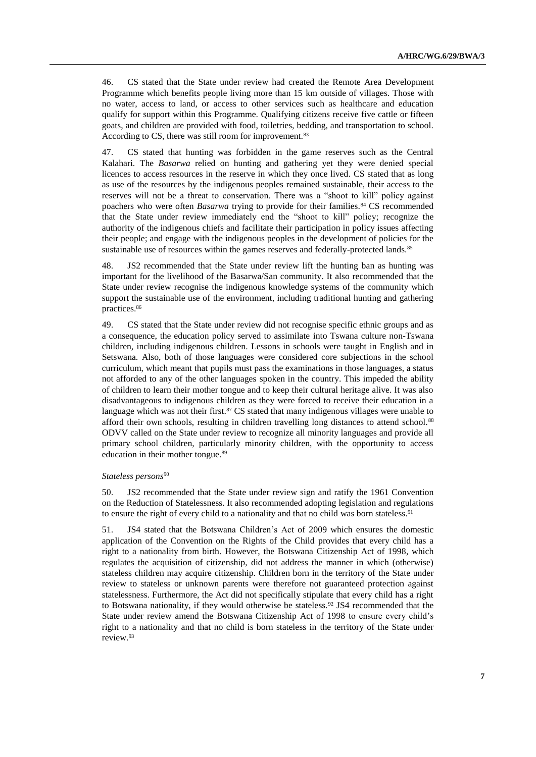46. CS stated that the State under review had created the Remote Area Development Programme which benefits people living more than 15 km outside of villages. Those with no water, access to land, or access to other services such as healthcare and education qualify for support within this Programme. Qualifying citizens receive five cattle or fifteen goats, and children are provided with food, toiletries, bedding, and transportation to school. According to CS, there was still room for improvement.<sup>83</sup>

47. CS stated that hunting was forbidden in the game reserves such as the Central Kalahari. The *Basarwa* relied on hunting and gathering yet they were denied special licences to access resources in the reserve in which they once lived. CS stated that as long as use of the resources by the indigenous peoples remained sustainable, their access to the reserves will not be a threat to conservation. There was a "shoot to kill" policy against poachers who were often *Basarwa* trying to provide for their families.<sup>84</sup> CS recommended that the State under review immediately end the "shoot to kill" policy; recognize the authority of the indigenous chiefs and facilitate their participation in policy issues affecting their people; and engage with the indigenous peoples in the development of policies for the sustainable use of resources within the games reserves and federally-protected lands.<sup>85</sup>

48. JS2 recommended that the State under review lift the hunting ban as hunting was important for the livelihood of the Basarwa/San community. It also recommended that the State under review recognise the indigenous knowledge systems of the community which support the sustainable use of the environment, including traditional hunting and gathering practices.<sup>86</sup>

49. CS stated that the State under review did not recognise specific ethnic groups and as a consequence, the education policy served to assimilate into Tswana culture non-Tswana children, including indigenous children. Lessons in schools were taught in English and in Setswana. Also, both of those languages were considered core subjections in the school curriculum, which meant that pupils must pass the examinations in those languages, a status not afforded to any of the other languages spoken in the country. This impeded the ability of children to learn their mother tongue and to keep their cultural heritage alive. It was also disadvantageous to indigenous children as they were forced to receive their education in a language which was not their first.<sup>87</sup> CS stated that many indigenous villages were unable to afford their own schools, resulting in children travelling long distances to attend school.<sup>88</sup> ODVV called on the State under review to recognize all minority languages and provide all primary school children, particularly minority children, with the opportunity to access education in their mother tongue.<sup>89</sup>

#### *Stateless persons*<sup>90</sup>

50. JS2 recommended that the State under review sign and ratify the 1961 Convention on the Reduction of Statelessness. It also recommended adopting legislation and regulations to ensure the right of every child to a nationality and that no child was born stateless.<sup>91</sup>

51. JS4 stated that the Botswana Children's Act of 2009 which ensures the domestic application of the Convention on the Rights of the Child provides that every child has a right to a nationality from birth. However, the Botswana Citizenship Act of 1998, which regulates the acquisition of citizenship, did not address the manner in which (otherwise) stateless children may acquire citizenship. Children born in the territory of the State under review to stateless or unknown parents were therefore not guaranteed protection against statelessness. Furthermore, the Act did not specifically stipulate that every child has a right to Botswana nationality, if they would otherwise be stateless.<sup>92</sup> JS4 recommended that the State under review amend the Botswana Citizenship Act of 1998 to ensure every child's right to a nationality and that no child is born stateless in the territory of the State under review. 93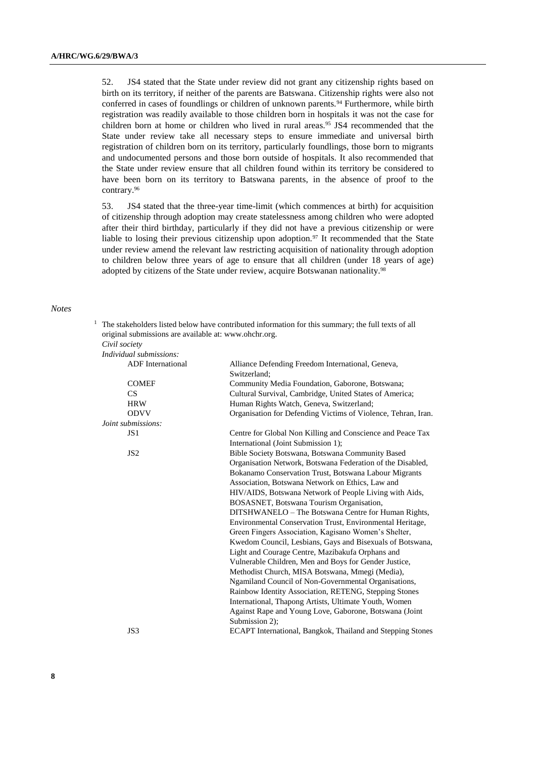52. JS4 stated that the State under review did not grant any citizenship rights based on birth on its territory, if neither of the parents are Batswana. Citizenship rights were also not conferred in cases of foundlings or children of unknown parents.<sup>94</sup> Furthermore, while birth registration was readily available to those children born in hospitals it was not the case for children born at home or children who lived in rural areas.<sup>95</sup> JS4 recommended that the State under review take all necessary steps to ensure immediate and universal birth registration of children born on its territory, particularly foundlings, those born to migrants and undocumented persons and those born outside of hospitals. It also recommended that the State under review ensure that all children found within its territory be considered to have been born on its territory to Batswana parents, in the absence of proof to the contrary. 96

53. JS4 stated that the three-year time-limit (which commences at birth) for acquisition of citizenship through adoption may create statelessness among children who were adopted after their third birthday, particularly if they did not have a previous citizenship or were liable to losing their previous citizenship upon adoption.<sup>97</sup> It recommended that the State under review amend the relevant law restricting acquisition of nationality through adoption to children below three years of age to ensure that all children (under 18 years of age) adopted by citizens of the State under review, acquire Botswanan nationality.<sup>98</sup>

#### *Notes*

 $1$  The stakeholders listed below have contributed information for this summary; the full texts of all original submissions are available at: [www.ohchr.org.](http://www.ohchr.org/)

| Civil society            |                                                                                                   |
|--------------------------|---------------------------------------------------------------------------------------------------|
| Individual submissions:  |                                                                                                   |
| <b>ADF</b> International | Alliance Defending Freedom International, Geneva,<br>Switzerland:                                 |
| <b>COMEF</b>             | Community Media Foundation, Gaborone, Botswana;                                                   |
| CS <sup>-</sup>          | Cultural Survival, Cambridge, United States of America;                                           |
| <b>HRW</b>               | Human Rights Watch, Geneva, Switzerland;                                                          |
| <b>ODVV</b>              | Organisation for Defending Victims of Violence, Tehran, Iran.                                     |
| Joint submissions:       |                                                                                                   |
| JS <sub>1</sub>          | Centre for Global Non Killing and Conscience and Peace Tax<br>International (Joint Submission 1); |
| JS <sub>2</sub>          | Bible Society Botswana, Botswana Community Based                                                  |
|                          | Organisation Network, Botswana Federation of the Disabled,                                        |
|                          | Bokanamo Conservation Trust, Botswana Labour Migrants                                             |
|                          | Association, Botswana Network on Ethics, Law and                                                  |
|                          | HIV/AIDS, Botswana Network of People Living with Aids,                                            |
|                          | BOSASNET, Botswana Tourism Organisation,                                                          |
|                          | DITSHWANELO - The Botswana Centre for Human Rights,                                               |
|                          | Environmental Conservation Trust, Environmental Heritage,                                         |
|                          | Green Fingers Association, Kagisano Women's Shelter,                                              |
|                          | Kwedom Council, Lesbians, Gays and Bisexuals of Botswana,                                         |
|                          | Light and Courage Centre, Mazibakufa Orphans and                                                  |
|                          | Vulnerable Children, Men and Boys for Gender Justice,                                             |
|                          | Methodist Church, MISA Botswana, Mmegi (Media),                                                   |
|                          | Ngamiland Council of Non-Governmental Organisations,                                              |
|                          | Rainbow Identity Association, RETENG, Stepping Stones                                             |
|                          | International, Thapong Artists, Ultimate Youth, Women                                             |
|                          | Against Rape and Young Love, Gaborone, Botswana (Joint                                            |
|                          | Submission 2);                                                                                    |
| JS3                      | ECAPT International, Bangkok, Thailand and Stepping Stones                                        |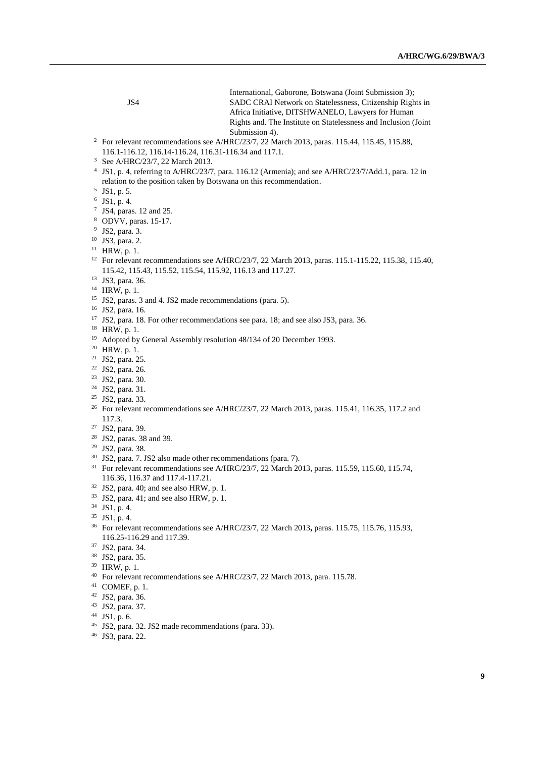|    | JS4                                                                                                            | International, Gaborone, Botswana (Joint Submission 3);<br>SADC CRAI Network on Statelessness, Citizenship Rights in<br>Africa Initiative, DITSHWANELO, Lawyers for Human<br>Rights and. The Institute on Statelessness and Inclusion (Joint<br>Submission 4). |  |
|----|----------------------------------------------------------------------------------------------------------------|----------------------------------------------------------------------------------------------------------------------------------------------------------------------------------------------------------------------------------------------------------------|--|
|    | <sup>2</sup> For relevant recommendations see A/HRC/23/7, 22 March 2013, paras. 115.44, 115.45, 115.88,        |                                                                                                                                                                                                                                                                |  |
|    | 116.1-116.12, 116.14-116.24, 116.31-116.34 and 117.1.                                                          |                                                                                                                                                                                                                                                                |  |
|    | <sup>3</sup> See A/HRC/23/7, 22 March 2013.                                                                    |                                                                                                                                                                                                                                                                |  |
|    |                                                                                                                | <sup>4</sup> JS1, p. 4, referring to A/HRC/23/7, para. 116.12 (Armenia); and see A/HRC/23/7/Add.1, para. 12 in                                                                                                                                                 |  |
|    | relation to the position taken by Botswana on this recommendation.                                             |                                                                                                                                                                                                                                                                |  |
|    | $5$ JS1, p. 5.                                                                                                 |                                                                                                                                                                                                                                                                |  |
|    | $6$ JS1, p. 4.                                                                                                 |                                                                                                                                                                                                                                                                |  |
|    | $7$ JS4, paras. 12 and 25.                                                                                     |                                                                                                                                                                                                                                                                |  |
|    | <sup>8</sup> ODVV, paras. 15-17.                                                                               |                                                                                                                                                                                                                                                                |  |
|    | $9$ JS2, para. 3.                                                                                              |                                                                                                                                                                                                                                                                |  |
|    | $10$ JS3, para. 2.                                                                                             |                                                                                                                                                                                                                                                                |  |
|    | $11$ HRW, p. 1.                                                                                                |                                                                                                                                                                                                                                                                |  |
|    | <sup>12</sup> For relevant recommendations see A/HRC/23/7, 22 March 2013, paras. 115.1-115.22, 115.38, 115.40, |                                                                                                                                                                                                                                                                |  |
|    | 115.42, 115.43, 115.52, 115.54, 115.92, 116.13 and 117.27.                                                     |                                                                                                                                                                                                                                                                |  |
|    | <sup>13</sup> JS3, para. 36.                                                                                   |                                                                                                                                                                                                                                                                |  |
|    | <sup>14</sup> HRW, p. 1.                                                                                       |                                                                                                                                                                                                                                                                |  |
|    | <sup>15</sup> JS2, paras. 3 and 4. JS2 made recommendations (para. 5).                                         |                                                                                                                                                                                                                                                                |  |
|    | <sup>16</sup> JS2, para. 16.                                                                                   |                                                                                                                                                                                                                                                                |  |
|    |                                                                                                                | <sup>17</sup> JS2, para. 18. For other recommendations see para. 18; and see also JS3, para. 36.                                                                                                                                                               |  |
|    | $18$ HRW, p. 1.                                                                                                |                                                                                                                                                                                                                                                                |  |
|    | <sup>19</sup> Adopted by General Assembly resolution 48/134 of 20 December 1993.                               |                                                                                                                                                                                                                                                                |  |
|    | <sup>20</sup> HRW, p. 1.                                                                                       |                                                                                                                                                                                                                                                                |  |
|    | <sup>21</sup> JS2, para. 25.                                                                                   |                                                                                                                                                                                                                                                                |  |
|    | <sup>22</sup> JS2, para. 26.                                                                                   |                                                                                                                                                                                                                                                                |  |
|    | <sup>23</sup> JS2, para. 30.                                                                                   |                                                                                                                                                                                                                                                                |  |
|    | <sup>24</sup> JS2, para. 31.                                                                                   |                                                                                                                                                                                                                                                                |  |
|    | <sup>25</sup> JS2, para. 33.                                                                                   |                                                                                                                                                                                                                                                                |  |
|    | 117.3.                                                                                                         | <sup>26</sup> For relevant recommendations see A/HRC/23/7, 22 March 2013, paras. 115.41, 116.35, 117.2 and                                                                                                                                                     |  |
|    | <sup>27</sup> JS2, para. 39.                                                                                   |                                                                                                                                                                                                                                                                |  |
|    |                                                                                                                |                                                                                                                                                                                                                                                                |  |
|    | <sup>28</sup> JS2, paras. 38 and 39.<br><sup>29</sup> JS2, para. 38.                                           |                                                                                                                                                                                                                                                                |  |
| 30 | JS2, para. 7. JS2 also made other recommendations (para. 7).                                                   |                                                                                                                                                                                                                                                                |  |
|    |                                                                                                                | <sup>31</sup> For relevant recommendations see A/HRC/23/7, 22 March 2013, paras. 115.59, 115.60, 115.74,                                                                                                                                                       |  |
|    | 116.36, 116.37 and 117.4-117.21.                                                                               |                                                                                                                                                                                                                                                                |  |
| 22 |                                                                                                                |                                                                                                                                                                                                                                                                |  |

- JS2, para. 40; and see also HRW, p. 1.
- JS2, para. 41; and see also HRW, p. 1.
- JS1, p. 4.
- JS1, p. 4.
- For relevant recommendations see A/HRC/23/7, 22 March 2013**,** paras. 115.75, 115.76*,* 115.93, 116.25-116.29 and 117.39.
- JS2, para. 34.
- JS2, para. 35.
- HRW, p. 1.
- <sup>40</sup> For relevant recommendations see A/HRC/23/7, 22 March 2013, para. 115.78.
- COMEF, p. 1.
- JS2, para. 36.
- JS2, para. 37.
- JS1, p. 6.
- JS2, para. 32. JS2 made recommendations (para. 33).
- JS3, para. 22.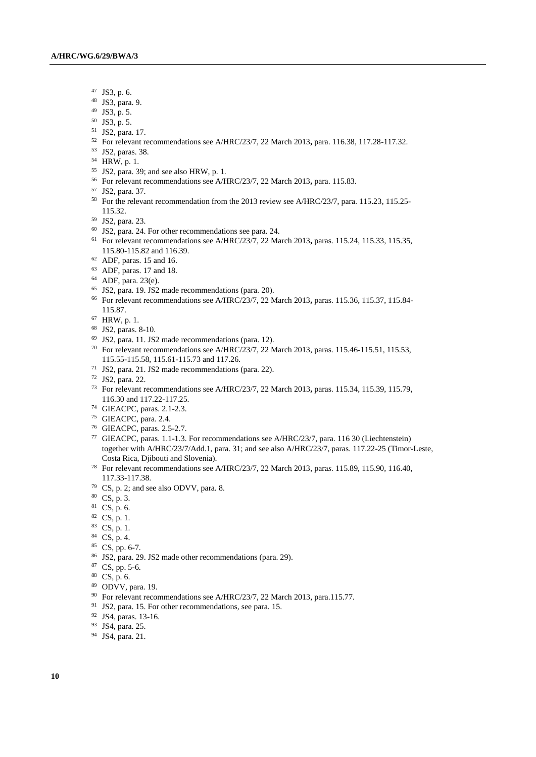- JS3, p. 6.
- JS3, para. 9.
- JS3, p. 5.
- JS3, p. 5.
- JS2, para. 17.
- For relevant recommendations see A/HRC/23/7, 22 March 2013**,** para. 116.38, 117.28-117.32.
- JS2, paras. 38.
- HRW, p. 1.
- JS2, para. 39; and see also HRW, p. 1.
- For relevant recommendations see A/HRC/23/7, 22 March 2013**,** para. 115.83.
- JS2, para. 37.
- <sup>58</sup> For the relevant recommendation from the 2013 review see A/HRC/23/7, para. 115.23, 115.25-115.32.
- JS2, para. 23.
- JS2, para. 24. For other recommendations see para. 24.
- For relevant recommendations see A/HRC/23/7, 22 March 2013**,** paras. 115.24, 115.33, 115.35, 115.80-115.82 and 116.39.
- ADF, paras. 15 and 16.
- ADF, paras. 17 and 18.
- ADF, para. 23(e).
- JS2, para. 19. JS2 made recommendations (para. 20).
- For relevant recommendations see A/HRC/23/7, 22 March 2013**,** paras. 115.36, 115.37, 115.84- 115.87.
- HRW, p. 1.
- JS2, paras. 8-10.
- JS2, para. 11. JS2 made recommendations (para. 12).
- For relevant recommendations see A/HRC/23/7, 22 March 2013, paras. 115.46-115.51, 115.53, 115.55-115.58, 115.61-115.73 and 117.26.
- JS2, para. 21. JS2 made recommendations (para. 22).
- JS2, para. 22.
- For relevant recommendations see A/HRC/23/7, 22 March 2013**,** paras. 115.34, 115.39, 115.79, 116.30 and 117.22-117.25.
- GIEACPC, paras. 2.1-2.3.
- GIEACPC, para. 2.4.
- GIEACPC, paras. 2.5-2.7.
- GIEACPC, paras. 1.1-1.3. For recommendations see A/HRC/23/7, para. 116 30 (Liechtenstein) together with A/HRC/23/7/Add.1, para. 31; and see also A/HRC/23/7, paras. 117.22-25 (Timor-Leste, Costa Rica, Djibouti and Slovenia).
- For relevant recommendations see A/HRC/23/7, 22 March 2013, para*s*. 115.89, 115.90*,* 116.40, 117.33-117.38.
- CS, p. 2; and see also ODVV, para. 8.
- CS, p. 3.
- CS, p. 6.
- CS, p. 1.
- CS, p. 1.
- CS, p. 4.
- CS, pp. 6-7.
- JS2, para. 29. JS2 made other recommendations (para. 29).
- CS, pp. 5-6.
- CS, p. 6.
- ODVV, para. 19.
- <sup>90</sup> For relevant recommendations see A/HRC/23/7, 22 March 2013, para.115.77.
- JS2, para. 15. For other recommendations, see para. 15.
- JS4, paras. 13-16.
- JS4, para. 25.
- JS4, para. 21.